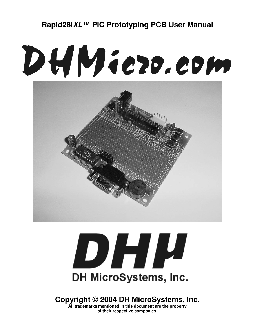# DHMiezo.com





**Copyright © 2004 DH MicroSystems, Inc.**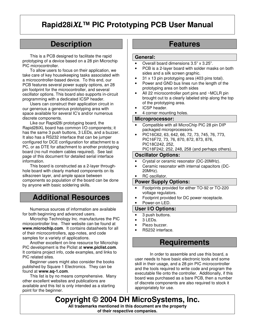## **Description**

This is a PCB designed to facilitate the rapid prototyping of a device based on a 28 pin Microchip PIC microcontroller.

To allow users to focus on their application, we take care of key housekeeping tasks associated with a microcontroller-based device. To this end, our PCB features several power supply options, an 28 pin footprint for the microcontroller, and several oscillator options. This board also supports in-circuit programming with a dedicated ICSP header.

Users can construct their application circuit in our generous a generous prototyping area with space available for several IC's and/or numerous discrete components.

Like our Rapid28i prototyping board, the Rapid28iXL board has common I/O components; it has the same 3 push buttons, 3 LEDs, and a buzzer. It also has a RS232 interface that can be jumper configured for DCE configuration for attachment to a PC, or as DTE for attachment to another prototyping board (no null modem cables required). See last page of this document for detailed serial interface information.

This board is constructed as a 2-layer throughhole board with clearly marked components on its silkscreen layer, and ample space between components so population of the board can be done by anyone with basic soldering skills.

## **Additional Resources**

Numerous sources of information are available for both beginning and advanced users.

Microchip Technology Inc. manufactures the PIC microcontroller line. Their website can be found at **www.microchip.com**. It contains datasheets for all of their microcontrollers, app-notes, and code samples for a variety of applications.

Another excellent on-line resource for Microchip PIC development is the Piclist at **www.piclist.com**. It contains project info, code examples, and links to PIC related sites.

Beginner users might also consider the books published by Square 1 Electronics. They can be found at **www.sq-1.com**.

This list is by no means comprehensive. Many other excellent websites and publications are available and this list is only intended as a starting point for the beginner.

## **Features**

#### **General:**

- Overall board dimensions 3.5" x 3.25".
- PCB is a 2-layer board with solder masks on both sides and a silk screen graphic.
- 31 x 13 pin prototyping area (403 pins total).
- Power and GND bus lines run the length of the prototyping area on both sides
- All 22 microcontroller port pins and ~MCLR pin brought out to a clearly labeled strip along the top of the prototyping area.
- ICSP header.
- 4 corner mounting holes.

#### **Microprocessor:**

- Compatible with all MicroChip PIC 28 pin DIP packaged microprocessors.
- PIC16C62, 63, 642, 66, 72, 73, 745, 76, 773, PIC16F72, 73, 76, 870, 872, 873, 876, PIC18C242, 252, PIC18F242, 252, 248, 258 (and perhaps others).

## **Oscillator Options:**

- Crystal or ceramic resonator (DC-20MHz).
- Ceramic resonator with internal capacitors (DC-20MHz).
- RC oscillator.

#### **Power Supply Options:**

- Footprints provided for either TO-92 or TO-220 voltage regulators.
- Footprint provided for DC power receptacle.
- Power-on LED.

## **User I/O Options:**

- 3 push buttons.
- 3 LEDs.
- Piezo buzzer.
- RS232 interface.

## **Requirements**

In order to assemble and use this board, a user needs to have basic electronic tools and some skill in their usage, and a 28 pin PIC microcontroller and the tools required to write code and program the executable file onto the controller. Additionally, if this board was purchased as a bare PCB, then a number of discrete components are also required to stock it appropriately for use.

**Copyright © 2004 DH MicroSystems, Inc. All trademarks mentioned in this document are the property of their respective companies.**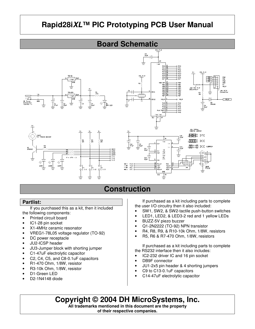

## **Construction**

## **Partlist:**

If you purchased this as a kit, then it included the following components:

- Printed circuit board
- IC1-28 pin socket
- X1-4MHz ceramic resonator
- VREG1-78L05 voltage regulator (TO-92)
- DC power receptacle
- JU2-ICSP header
- JU3-Jumper block with shorting jumper
- C1-47uF electrolytic capacitor
- C2, C4, C5, and C8-0.1uF capacitors
- R1-470 Ohm, 1/8W, resistor
- R3-10k Ohm, 1/8W, resistor
- D1-Green LED
- D2-1N4148 diode

If purchased as a kit including parts to complete the user I/O circuitry then it also included:

- SW1, SW2, & SW2-tactile push-button switches
- LED1, LED2, & LED3-2 red and 1 yellow LEDs
- BUZZ-5V piezo buzzer
- Q1-2N2222 (TO-92) NPN transistor
- R4, R8, R9, & R10-10k Ohm, 1/8W, resistors
- R5, R6 & R7-470 Ohm, 1/8W, resistors

If purchased as a kit including parts to complete the RS232 interface then it also includes:

- IC2-232 driver IC and 16 pin socket
- DB9F connector
- JU1-2x5 pin header & 4 shorting jumpers
- C9 to C13-0.1uF capacitors
- C14-47uF electrolytic capacitor

**Copyright © 2004 DH MicroSystems, Inc.**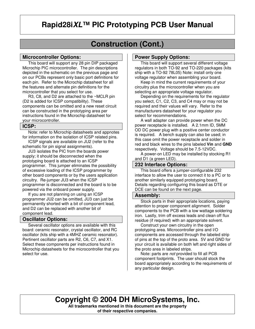# **Construction (Cont.)**

### **Microcontroller Options:**

This board will support any 28 pin DIP packaged Microchip PIC microcontroller. The pin descriptions depicted in the schematic on the previous page and on our PCBs represent only basic port definitions for each pin. Refer to the Microchip datasheet for all the features and alternate pin definitions for the microcontroller that you select for use.

 R3, C8, and D2 are attached to the ~MCLR pin (D2 is added for ICSP compatibility). These components can be omitted and a new reset circuit can be constructed in the prototyping area per instructions found in the Microchip datasheet for your microcontroller.

## **ICSP:**

 Note: refer to Microchip datasheets and appnotes for information on the isolation of ICSP related pins.

 ICSP signals are available on JU2 (refer to the schematic for pin signal assignments).

 JU3 isolates the PIC from the boards power supply; it should be disconnected when the prototyping board is attached to an ICSP programmer. This jumper eliminates the possibility of excessive loading of the ICSP programmer by other board components or by the users application circuitry. Re-jumper JU3 when the ICSP programmer is disconnected and the board is to be powered via the onboard power supply.

 If you are not planning on using an ICSP programmer JU2 can be omitted, JU3 can just be permanently shorted with a bit of component lead, and D2 can be replaced with another bit of component lead.

## **Oscillator Options:**

 Several oscillator options are available with this board: ceramic resonator, crystal oscillator, and RC oscillator (kits ship with a 4MHZ ceramic resonator). Pertinent oscillator parts are R2, C6, C7, and X1. Select these components per instructions found in Microchip datasheets for the microcontroller that you select for use.

## **Power Supply Options:**

 This board will support several different voltage regulators in both TO-92 and TO-220 packages (kits ship with a TO-92 78L05) Note: install only one voltage regulator when assembling your board.

 Keep in mind the current requirements of your circuitry plus the microcontroller when you are selecting an appropriate voltage regulator.

 Depending on the requirements for the regulator you select, C1, C2, C3, and C4 may or may not be required and their values will vary. Refer to the manufacturers datasheet for your regulator you select for recommendations.

 A wall adapter can provide power when the DC power receptacle is installed. A 2.1mm ID, 5MM OD DC power plug with a positive center conductor is required. A bench supply can also be used; in this case omit the power receptacle and solder in red and black wires to the pins labeled **Vin** and **GND** respectively. Voltage should be 7.5-12VDC.

 A power-on LED may be installed by stocking R1 and D1 (a green LED).

### **232 Interface Options:**

 This board offers a jumper-configurable 232 interface to allow the user to connect it to a PC or to another similarly equipped prototyping board. Details regarding configuring this board as DTE or DCE can be found on the next page.

#### **Assembly:**

 Stock parts in their appropriate locations, paying attention to proper component alignment. Solder components to the PCB with a low wattage soldering iron. Lastly, trim off excess leads and clean off flux residue (if required) with an appropriate solvent.

 Construct your own circuitry in the open prototyping area. Microcontroller pins and I/O components are accessed through the labeled strip of pins at the top of the proto area. 5V and GND for your circuit is available on both left and right sides of the proto area in labeled strips.

 Note: parts are *not* provided to fill all PCB component footprints. The user should stock the board appropriately according to the requirements of any particular design.

## **Copyright © 2004 DH MicroSystems, Inc.**